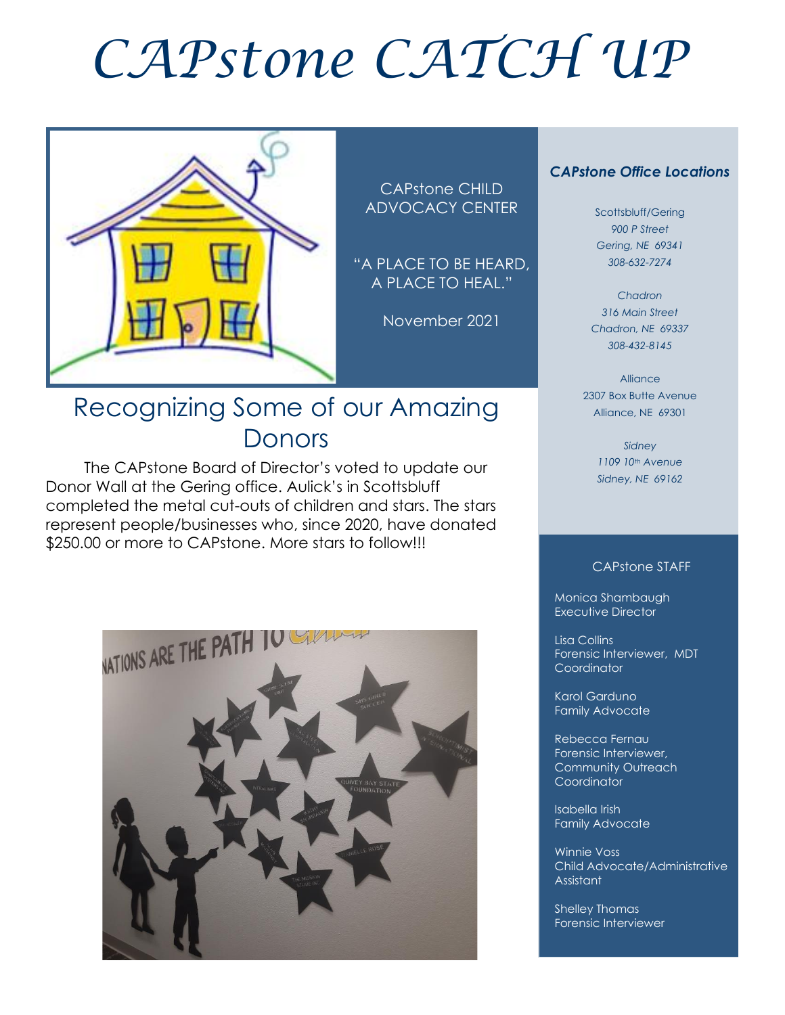# *CAPstone CATCH UP*



CAPstone CHILD ADVOCACY CENTER

"A PLACE TO BE HEARD, A PLACE TO HEAL."

November 2021

### Recognizing Some of our Amazing Donors

 The CAPstone Board of Director's voted to update our Donor Wall at the Gering office. Aulick's in Scottsbluff completed the metal cut-outs of children and stars. The stars represent people/businesses who, since 2020, have donated \$250.00 or more to CAPstone. More stars to follow!!!



#### *CAPstone Office Locations*

Scottsbluff/Gering *900 P Street Gering, NE 69341 308-632-7274*

*Chadron 316 Main Street Chadron, NE 69337 308-432-8145*

Alliance 2307 Box Butte Avenue Alliance, NE 69301

> *Sidney 1109 10th Avenue Sidney, NE 69162*

#### CAPstone STAFF

Monica Shambaugh Executive Director

Lisa Collins Forensic Interviewer, MDT **Coordinator** 

Karol Garduno Family Advocate

Rebecca Fernau Forensic Interviewer, Community Outreach Coordinator

Isabella Irish Family Advocate

Winnie Voss Child Advocate/Administrative Assistant

Shelley Thomas Forensic Interviewer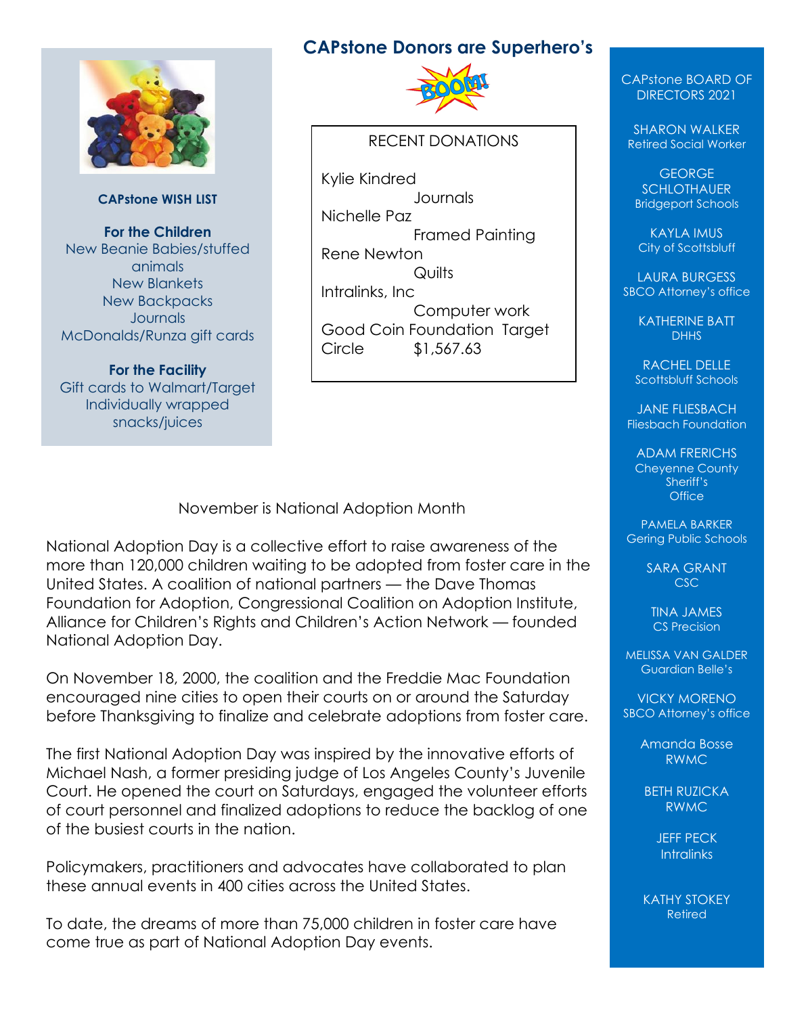#### **CAPstone Donors are Superhero's**



**CAPstone WISH LIST**

**For the Children** New Beanie Babies/stuffed animals New Blankets New Backpacks **Journals** McDonalds/Runza gift cards

**For the Facility** Gift cards to Walmart/Target Individually wrapped snacks/juices



#### RECENT DONATIONS

Kylie Kindred **Journals** Nichelle Paz Framed Painting Rene Newton Quilts Intralinks, Inc Computer work Good Coin Foundation Target Circle \$1,567.63

November is National Adoption Month

National Adoption Day is a collective effort to raise awareness of the more than 120,000 children waiting to be adopted from foster care in the United States. A coalition of national partners — the Dave Thomas Foundation for Adoption, Congressional Coalition on Adoption Institute, Alliance for Children's Rights and Children's Action Network — founded National Adoption Day.

On November 18, 2000, the coalition and the Freddie Mac Foundation encouraged nine cities to open their courts on or around the Saturday before Thanksgiving to finalize and celebrate adoptions from foster care.

The first National Adoption Day was inspired by the innovative efforts of Michael Nash, a former presiding judge of Los Angeles County's Juvenile Court. He opened the court on Saturdays, engaged the volunteer efforts of court personnel and finalized adoptions to reduce the backlog of one of the busiest courts in the nation.

Policymakers, practitioners and advocates have collaborated to plan these annual events in 400 cities across the United States.

To date, the dreams of more than 75,000 children in foster care have come true as part of National Adoption Day events.

CAPstone BOARD OF DIRECTORS 2021

SHARON WALKER Retired Social Worker

GEORGE **SCHLOTHAUER** Bridgeport Schools

KAYLA IMUS City of Scottsbluff

LAURA BURGESS SBCO Attorney's office

> KATHERINE BATT DHH<sub>S</sub>

RACHEL DELLE Scottsbluff Schools

JANE FLIESBACH Fliesbach Foundation

ADAM FRERICHS Cheyenne County Sheriff's **Office** 

PAMELA BARKER Gering Public Schools

> SARA GRANT CSC

TINA JAMES CS Precision

MELISSA VAN GALDER Guardian Belle's

VICKY MORENO SBCO Attorney's office

> Amanda Bosse RWMC

BETH RUZICKA RWMC

> JEFF PECK **Intralinks**

KATHY STOKEY Retired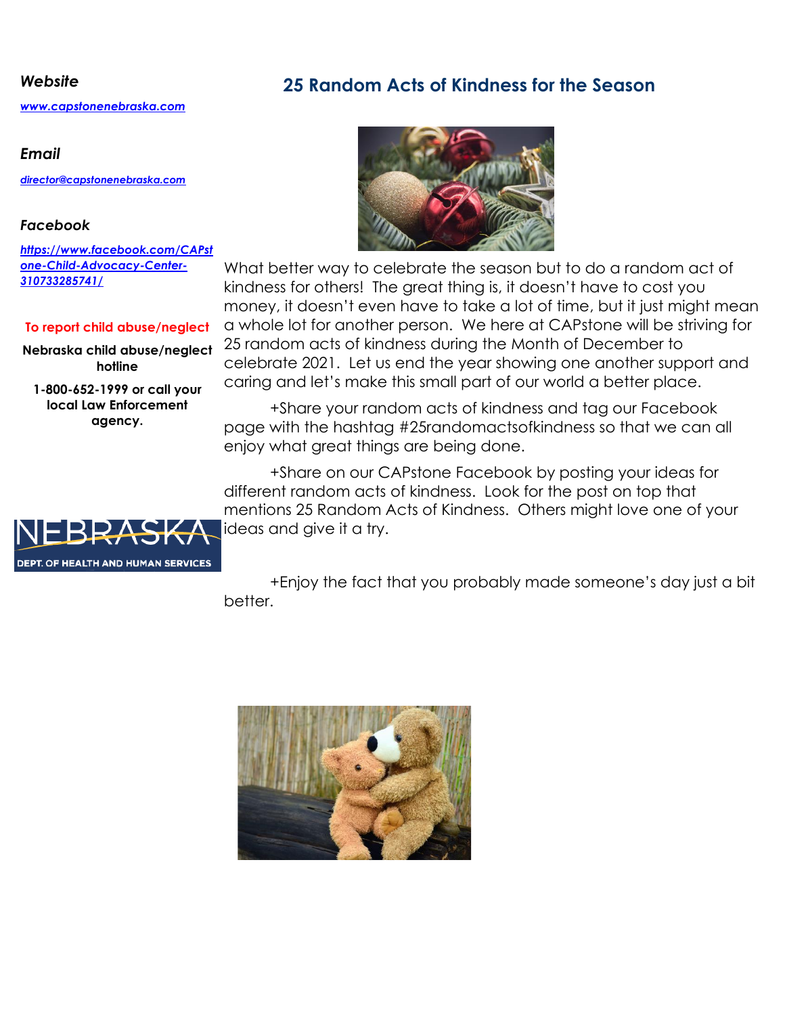*[www.capstonenebraska.com](http://www.capstonenebraska.com/)*

#### *Email*

*[director@capstonenebraska.com](mailto:director@capstonenebraska.com)*

#### *Facebook*

*[https://www.facebook.com/CAPst](https://www.facebook.com/CAPstone-Child-Advocacy-Center-310733285741/) [one-Child-Advocacy-Center-](https://www.facebook.com/CAPstone-Child-Advocacy-Center-310733285741/)[310733285741/](https://www.facebook.com/CAPstone-Child-Advocacy-Center-310733285741/)*

#### **To report child abuse/neglect**

**Nebraska child abuse/neglect hotline**

**1-800-652-1999 or call your local Law Enforcement agency.**

### *Website* **25 Random Acts of Kindness for the Season**



What better way to celebrate the season but to do a random act of kindness for others! The great thing is, it doesn't have to cost you money, it doesn't even have to take a lot of time, but it just might mean a whole lot for another person. We here at CAPstone will be striving for 25 random acts of kindness during the Month of December to celebrate 2021. Let us end the year showing one another support and caring and let's make this small part of our world a better place.

+Share your random acts of kindness and tag our Facebook page with the hashtag #25randomactsofkindness so that we can all enjoy what great things are being done.

+Share on our CAPstone Facebook by posting your ideas for different random acts of kindness. Look for the post on top that mentions 25 Random Acts of Kindness. Others might love one of your ideas and give it a try.



+Enjoy the fact that you probably made someone's day just a bit better.

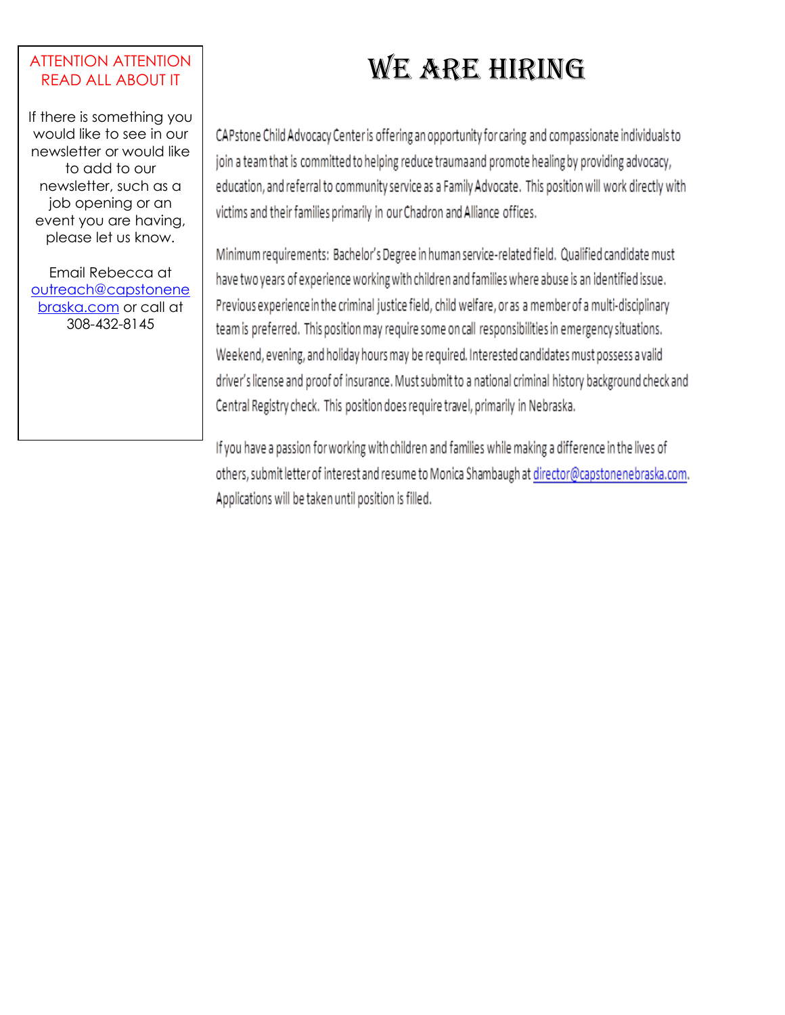#### ATTENTION ATTENTION READ ALL ABOUT IT

If there is something you would like to see in our newsletter or would like to add to our newsletter, such as a job opening or an event you are having, please let us know.

Email Rebecca at [outreach@capstonene](mailto:outreach@capstonenebraska.com) [braska.com](mailto:outreach@capstonenebraska.com) or call at 308-432-8145

## WE ARE HIRING

CAPstone Child Advocacy Center is offering an opportunity for caring and compassionate individuals to join a team that is committed to helping reduce traumaand promote healing by providing advocacy, education, and referral to community service as a Family Advocate. This position will work directly with victims and their families primarily in our Chadron and Alliance offices.

Minimum requirements: Bachelor's Degree in human service-related field. Qualified candidate must have two years of experience working with children and families where abuse is an identified issue. Previous experience in the criminal justice field, child welfare, or as a member of a multi-disciplinary team is preferred. This position may require some on call responsibilities in emergency situations. Weekend, evening, and holiday hours may be required. Interested candidates must possess a valid driver's license and proof of insurance. Must submit to a national criminal history background check and Central Registry check. This position does require travel, primarily in Nebraska.

If you have a passion for working with children and families while making a difference in the lives of others, submit letter of interest and resume to Monica Shambaugh at director@capstonenebraska.com. Applications will be taken until position is filled.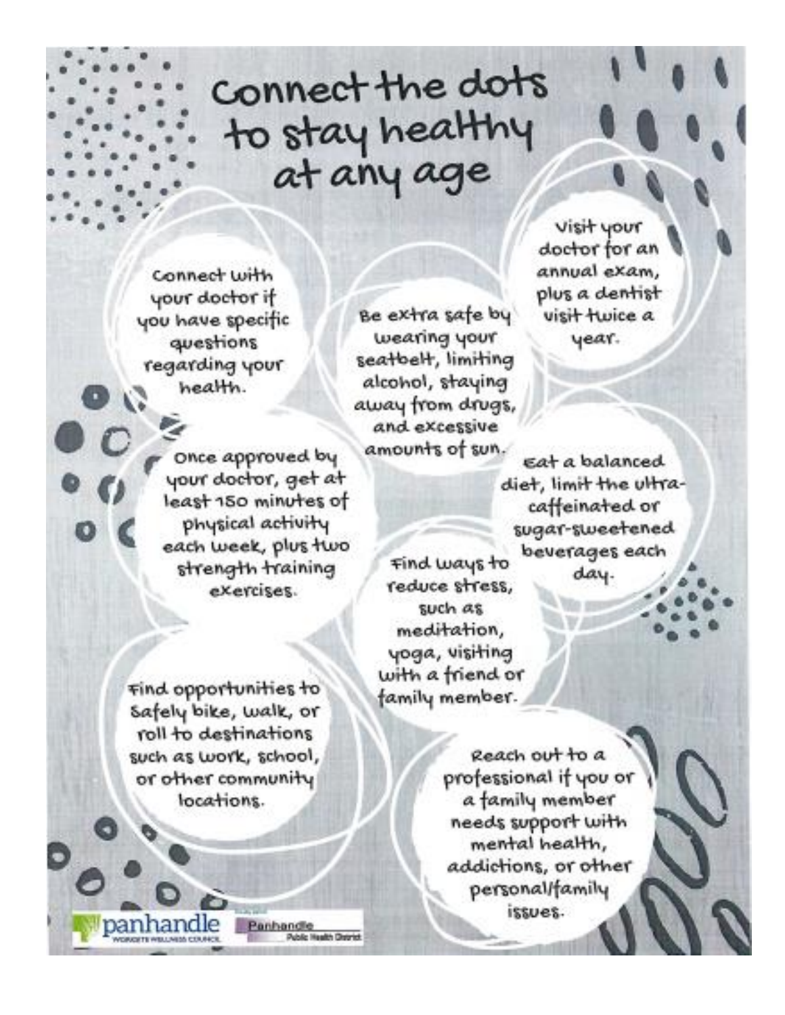# Connect the dots to stay healthy<br>at any age

Connect with your doctor if you have specific questions regarding your health.

> Once approved by your doctor, get at least 150 minutes of physical activity each week, plus two strength training exercises.

find opportunities to Safely bike, walk, or roll to destinations such as work, school, or other community locations.

Panhandle

Be extra safe by wearing your seatbelt, limiting alcohol, staying away from drugs, and excessive amounts of sun.

eat a balanced diet, limit the ultracaffeinated or sugar-sweetened beverages each day.

visit your doctor for an annual exam,

plus a dentist

visit twice a

year.

Find ways to reduce stress, such as meditation, yoga, visiting with a friend or family member.

> Reach out to a professional if you or a family member needs support with mental health, addictions, or other personal/family issues.